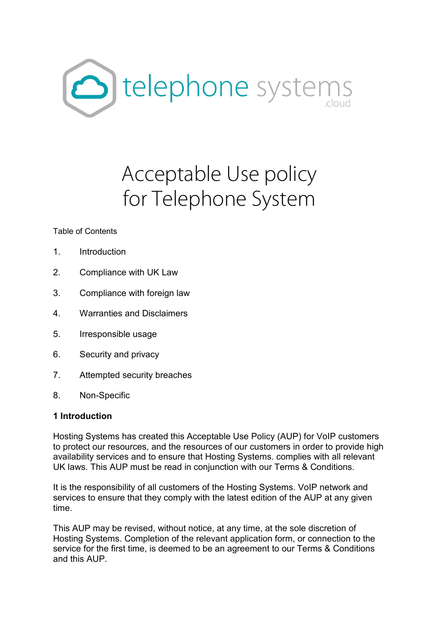

# Acceptable Use policy for Telephone System

#### Table of Contents

- 1. Introduction
- 2. Compliance with UK Law
- 3. Compliance with foreign law
- 4. Warranties and Disclaimers
- 5. Irresponsible usage
- 6. Security and privacy
- 7. Attempted security breaches
- 8. Non-Specific

#### **1 Introduction**

Hosting Systems has created this Acceptable Use Policy (AUP) for VoIP customers to protect our resources, and the resources of our customers in order to provide high availability services and to ensure that Hosting Systems. complies with all relevant UK laws. This AUP must be read in conjunction with our Terms & Conditions.

It is the responsibility of all customers of the Hosting Systems. VoIP network and services to ensure that they comply with the latest edition of the AUP at any given time.

This AUP may be revised, without notice, at any time, at the sole discretion of Hosting Systems. Completion of the relevant application form, or connection to the service for the first time, is deemed to be an agreement to our Terms & Conditions and this AUP.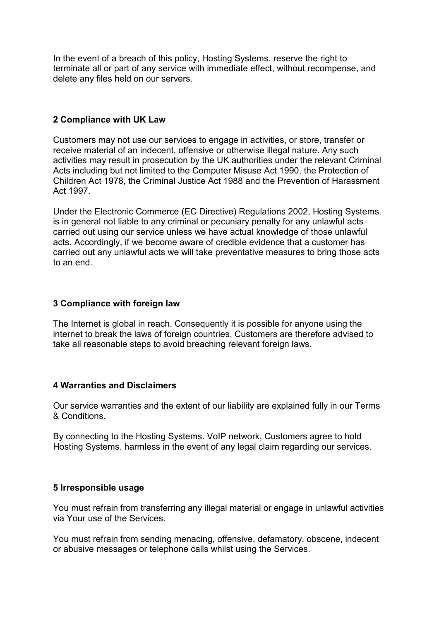In the event of a breach of this policy, Hosting Systems. reserve the right to terminate all or part of any service with immediate effect, without recompense, and delete any files held on our servers.

### **2 Compliance with UK Law**

Customers may not use our services to engage in activities, or store, transfer or receive material of an indecent, offensive or otherwise illegal nature. Any such activities may result in prosecution by the UK authorities under the relevant Criminal Acts including but not limited to the Computer Misuse Act 1990, the Protection of Children Act 1978, the Criminal Justice Act 1988 and the Prevention of Harassment Act 1997.

Under the Electronic Commerce (EC Directive) Regulations 2002, Hosting Systems. is in general not liable to any criminal or pecuniary penalty for any unlawful acts carried out using our service unless we have actual knowledge of those unlawful acts. Accordingly, if we become aware of credible evidence that a customer has carried out any unlawful acts we will take preventative measures to bring those acts to an end.

## **3 Compliance with foreign law**

The Internet is global in reach. Consequently it is possible for anyone using the internet to break the laws of foreign countries. Customers are therefore advised to take all reasonable steps to avoid breaching relevant foreign laws.

#### **4 Warranties and Disclaimers**

Our service warranties and the extent of our liability are explained fully in our Terms & Conditions.

By connecting to the Hosting Systems. VoIP network, Customers agree to hold Hosting Systems. harmless in the event of any legal claim regarding our services.

#### **5 Irresponsible usage**

You must refrain from transferring any illegal material or engage in unlawful activities via Your use of the Services.

You must refrain from sending menacing, offensive, defamatory, obscene, indecent or abusive messages or telephone calls whilst using the Services.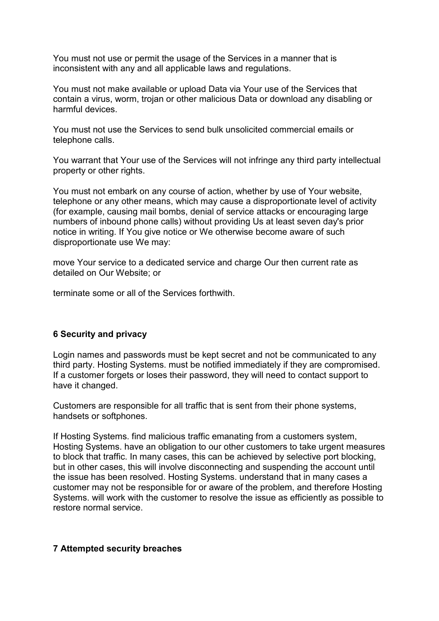You must not use or permit the usage of the Services in a manner that is inconsistent with any and all applicable laws and regulations.

You must not make available or upload Data via Your use of the Services that contain a virus, worm, trojan or other malicious Data or download any disabling or harmful devices.

You must not use the Services to send bulk unsolicited commercial emails or telephone calls.

You warrant that Your use of the Services will not infringe any third party intellectual property or other rights.

You must not embark on any course of action, whether by use of Your website, telephone or any other means, which may cause a disproportionate level of activity (for example, causing mail bombs, denial of service attacks or encouraging large numbers of inbound phone calls) without providing Us at least seven day's prior notice in writing. If You give notice or We otherwise become aware of such disproportionate use We may:

move Your service to a dedicated service and charge Our then current rate as detailed on Our Website; or

terminate some or all of the Services forthwith.

#### **6 Security and privacy**

Login names and passwords must be kept secret and not be communicated to any third party. Hosting Systems. must be notified immediately if they are compromised. If a customer forgets or loses their password, they will need to contact support to have it changed.

Customers are responsible for all traffic that is sent from their phone systems, handsets or softphones.

If Hosting Systems. find malicious traffic emanating from a customers system, Hosting Systems. have an obligation to our other customers to take urgent measures to block that traffic. In many cases, this can be achieved by selective port blocking, but in other cases, this will involve disconnecting and suspending the account until the issue has been resolved. Hosting Systems. understand that in many cases a customer may not be responsible for or aware of the problem, and therefore Hosting Systems. will work with the customer to resolve the issue as efficiently as possible to restore normal service.

#### **7 Attempted security breaches**